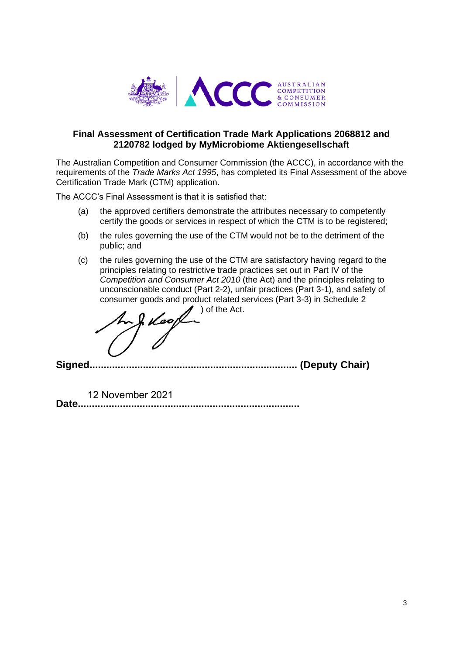

# **Final Assessment of Certification Trade Mark Applications 2068812 and 2120782 lodged by MyMicrobiome Aktiengesellschaft**

The Australian Competition and Consumer Commission (the ACCC), in accordance with the requirements of the *Trade Marks Act 1995*, has completed its Final Assessment of the above Certification Trade Mark (CTM) application.

The ACCC's Final Assessment is that it is satisfied that:

- (a) the approved certifiers demonstrate the attributes necessary to competently certify the goods or services in respect of which the CTM is to be registered;
- (b) the rules governing the use of the CTM would not be to the detriment of the public; and
- (c) the rules governing the use of the CTM are satisfactory having regard to the principles relating to restrictive trade practices set out in Part IV of the *Competition and Consumer Act 2010* (the Act) and the principles relating to unconscionable conduct (Part 2-2), unfair practices (Part 3-1), and safety of consumer goods and product related services (Part 3-3) in Schedule 2

 $\prime$  ) of the Act.

**Signed.......................................................................... (Deputy Chair)**

**Date...............................................................................** 12 November 2021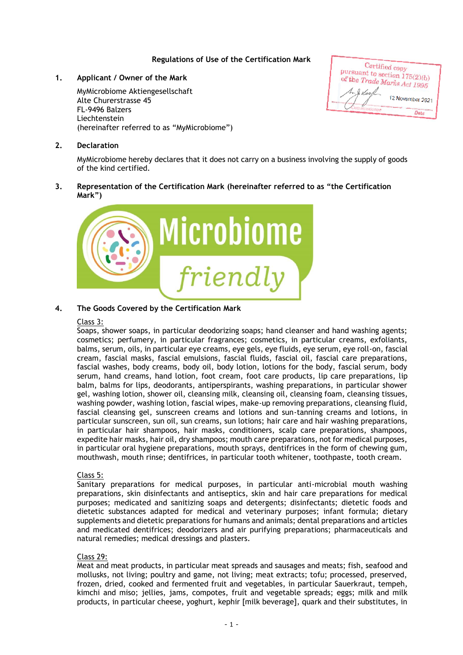# **Regulations of Use of the Certification Mark**

# **1. Applicant / Owner of the Mark**

MyMicrobiome Aktiengesellschaft Alte Churerstrasse 45 FL-9496 Balzers Liechtenstein (hereinafter referred to as "MyMicrobiome")

## **2. Declaration**

MyMicrobiome hereby declares that it does not carry on a business involving the supply of goods of the kind certified.

## **3. Representation of the Certification Mark (hereinafter referred to as "the Certification Mark")**



# **4. The Goods Covered by the Certification Mark**

## Class 3:

Soaps, shower soaps, in particular deodorizing soaps; hand cleanser and hand washing agents; cosmetics; perfumery, in particular fragrances; cosmetics, in particular creams, exfoliants, balms, serum, oils, in particular eye creams, eye gels, eye fluids, eye serum, eye roll-on, fascial cream, fascial masks, fascial emulsions, fascial fluids, fascial oil, fascial care preparations, fascial washes, body creams, body oil, body lotion, lotions for the body, fascial serum, body serum, hand creams, hand lotion, foot cream, foot care products, lip care preparations, lip balm, balms for lips, deodorants, antiperspirants, washing preparations, in particular shower gel, washing lotion, shower oil, cleansing milk, cleansing oil, cleansing foam, cleansing tissues, washing powder, washing lotion, fascial wipes, make-up removing preparations, cleansing fluid, fascial cleansing gel, sunscreen creams and lotions and sun-tanning creams and lotions, in particular sunscreen, sun oil, sun creams, sun lotions; hair care and hair washing preparations, in particular hair shampoos, hair masks, conditioners, scalp care preparations, shampoos, expedite hair masks, hair oil, dry shampoos; mouth care preparations, not for medical purposes, in particular oral hygiene preparations, mouth sprays, dentifrices in the form of chewing gum, mouthwash, mouth rinse; dentifrices, in particular tooth whitener, toothpaste, tooth cream.

#### Class 5:

Sanitary preparations for medical purposes, in particular anti-microbial mouth washing preparations, skin disinfectants and antiseptics, skin and hair care preparations for medical purposes; medicated and sanitizing soaps and detergents; disinfectants; dietetic foods and dietetic substances adapted for medical and veterinary purposes; infant formula; dietary supplements and dietetic preparations for humans and animals; dental preparations and articles and medicated dentifrices; deodorizers and air purifying preparations; pharmaceuticals and natural remedies; medical dressings and plasters.

#### Class 29:

Meat and meat products, in particular meat spreads and sausages and meats; fish, seafood and mollusks, not living; poultry and game, not living; meat extracts; tofu; processed, preserved, frozen, dried, cooked and fermented fruit and vegetables, in particular Sauerkraut, tempeh, kimchi and miso; jellies, jams, compotes, fruit and vegetable spreads; eggs; milk and milk products, in particular cheese, yoghurt, kephir [milk beverage], quark and their substitutes, in

Certified copy Pursuant to section  $175(2)(b)$ <br>of the Trade M. of the Trade Marks Act 1995 12 November 2021  $D<sub>n</sub>$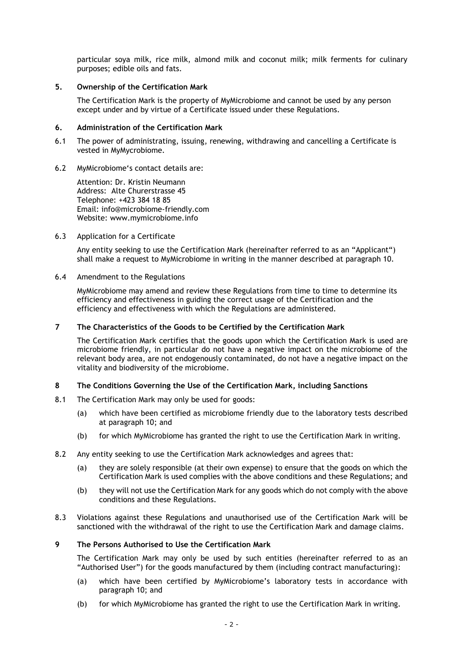particular soya milk, rice milk, almond milk and coconut milk; milk ferments for culinary purposes; edible oils and fats.

## **5. Ownership of the Certification Mark**

The Certification Mark is the property of MyMicrobiome and cannot be used by any person except under and by virtue of a Certificate issued under these Regulations.

# **6. Administration of the Certification Mark**

- 6.1 The power of administrating, issuing, renewing, withdrawing and cancelling a Certificate is vested in MyMycrobiome.
- 6.2 MyMicrobiome's contact details are:

Attention: Dr. Kristin Neumann Address: Alte Churerstrasse 45 Telephone: +423 384 18 85 Email: info@microbiome-friendly.com Website: www.mymicrobiome.info

## 6.3 Application for a Certificate

Any entity seeking to use the Certification Mark (hereinafter referred to as an "Applicant") shall make a request to MyMicrobiome in writing in the manner described at paragraph 10.

6.4 Amendment to the Regulations

MyMicrobiome may amend and review these Regulations from time to time to determine its efficiency and effectiveness in guiding the correct usage of the Certification and the efficiency and effectiveness with which the Regulations are administered.

## **7 The Characteristics of the Goods to be Certified by the Certification Mark**

The Certification Mark certifies that the goods upon which the Certification Mark is used are microbiome friendly, in particular do not have a negative impact on the microbiome of the relevant body area, are not endogenously contaminated, do not have a negative impact on the vitality and biodiversity of the microbiome.

#### **8 The Conditions Governing the Use of the Certification Mark, including Sanctions**

- 8.1 The Certification Mark may only be used for goods:
	- (a) which have been certified as microbiome friendly due to the laboratory tests described at paragraph 10; and
	- (b) for which MyMicrobiome has granted the right to use the Certification Mark in writing.
- 8.2 Any entity seeking to use the Certification Mark acknowledges and agrees that:
	- (a) they are solely responsible (at their own expense) to ensure that the goods on which the Certification Mark is used complies with the above conditions and these Regulations; and
	- (b) they will not use the Certification Mark for any goods which do not comply with the above conditions and these Regulations.
- 8.3 Violations against these Regulations and unauthorised use of the Certification Mark will be sanctioned with the withdrawal of the right to use the Certification Mark and damage claims.

#### **9 The Persons Authorised to Use the Certification Mark**

The Certification Mark may only be used by such entities (hereinafter referred to as an "Authorised User") for the goods manufactured by them (including contract manufacturing):

- (a) which have been certified by MyMicrobiome's laboratory tests in accordance with paragraph 10; and
- (b) for which MyMicrobiome has granted the right to use the Certification Mark in writing.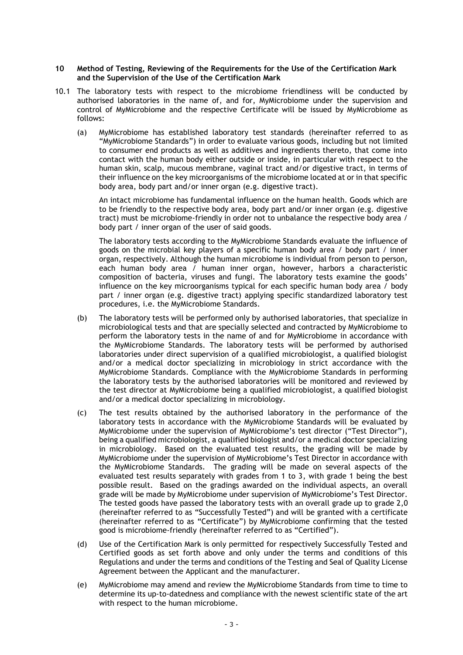#### **10 Method of Testing, Reviewing of the Requirements for the Use of the Certification Mark and the Supervision of the Use of the Certification Mark**

- 10.1 The laboratory tests with respect to the microbiome friendliness will be conducted by authorised laboratories in the name of, and for, MyMicrobiome under the supervision and control of MyMicrobiome and the respective Certificate will be issued by MyMicrobiome as follows:
	- (a) MyMicrobiome has established laboratory test standards (hereinafter referred to as "MyMicrobiome Standards") in order to evaluate various goods, including but not limited to consumer end products as well as additives and ingredients thereto, that come into contact with the human body either outside or inside, in particular with respect to the human skin, scalp, mucous membrane, vaginal tract and/or digestive tract, in terms of their influence on the key microorganisms of the microbiome located at or in that specific body area, body part and/or inner organ (e.g. digestive tract).

An intact microbiome has fundamental influence on the human health. Goods which are to be friendly to the respective body area, body part and/or inner organ (e.g. digestive tract) must be microbiome-friendly in order not to unbalance the respective body area / body part / inner organ of the user of said goods.

The laboratory tests according to the MyMicrobiome Standards evaluate the influence of goods on the microbial key players of a specific human body area / body part / inner organ, respectively. Although the human microbiome is individual from person to person, each human body area / human inner organ, however, harbors a characteristic composition of bacteria, viruses and fungi. The laboratory tests examine the goods' influence on the key microorganisms typical for each specific human body area / body part / inner organ (e.g. digestive tract) applying specific standardized laboratory test procedures, i.e. the MyMicrobiome Standards.

- (b) The laboratory tests will be performed only by authorised laboratories, that specialize in microbiological tests and that are specially selected and contracted by MyMicrobiome to perform the laboratory tests in the name of and for MyMicrobiome in accordance with the MyMicrobiome Standards. The laboratory tests will be performed by authorised laboratories under direct supervision of a qualified microbiologist, a qualified biologist and/or a medical doctor specializing in microbiology in strict accordance with the MyMicrobiome Standards. Compliance with the MyMicrobiome Standards in performing the laboratory tests by the authorised laboratories will be monitored and reviewed by the test director at MyMicrobiome being a qualified microbiologist, a qualified biologist and/or a medical doctor specializing in microbiology.
- (c) The test results obtained by the authorised laboratory in the performance of the laboratory tests in accordance with the MyMicrobiome Standards will be evaluated by MyMicrobiome under the supervision of MyMicrobiome's test director ("Test Director"), being a qualified microbiologist, a qualified biologist and/or a medical doctor specializing in microbiology. Based on the evaluated test results, the grading will be made by MyMicrobiome under the supervision of MyMicrobiome's Test Director in accordance with the MyMicrobiome Standards. The grading will be made on several aspects of the evaluated test results separately with grades from 1 to 3, with grade 1 being the best possible result. Based on the gradings awarded on the individual aspects, an overall grade will be made by MyMicrobiome under supervision of MyMicrobiome's Test Director. The tested goods have passed the laboratory tests with an overall grade up to grade 2,0 (hereinafter referred to as "Successfully Tested") and will be granted with a certificate (hereinafter referred to as "Certificate") by MyMicrobiome confirming that the tested good is microbiome-friendly (hereinafter referred to as "Certified").
- (d) Use of the Certification Mark is only permitted for respectively Successfully Tested and Certified goods as set forth above and only under the terms and conditions of this Regulations and under the terms and conditions of the Testing and Seal of Quality License Agreement between the Applicant and the manufacturer.
- (e) MyMicrobiome may amend and review the MyMicrobiome Standards from time to time to determine its up-to-datedness and compliance with the newest scientific state of the art with respect to the human microbiome.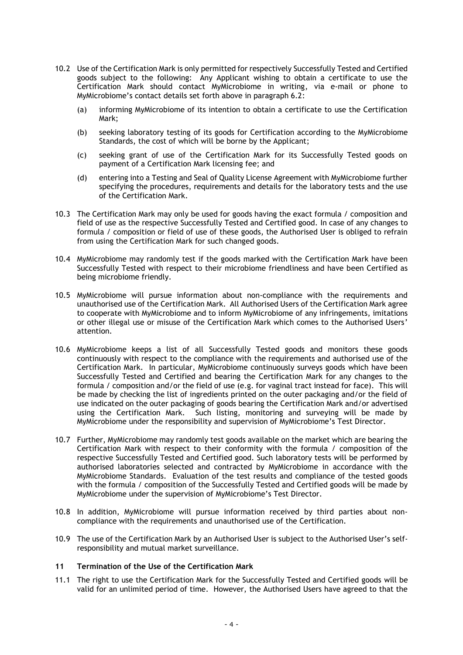- 10.2 Use of the Certification Mark is only permitted for respectively Successfully Tested and Certified goods subject to the following: Any Applicant wishing to obtain a certificate to use the Certification Mark should contact MyMicrobiome in writing, via e-mail or phone to MyMicrobiome's contact details set forth above in paragraph 6.2:
	- (a) informing MyMicrobiome of its intention to obtain a certificate to use the Certification Mark;
	- (b) seeking laboratory testing of its goods for Certification according to the MyMicrobiome Standards, the cost of which will be borne by the Applicant;
	- (c) seeking grant of use of the Certification Mark for its Successfully Tested goods on payment of a Certification Mark licensing fee; and
	- (d) entering into a Testing and Seal of Quality License Agreement with MyMicrobiome further specifying the procedures, requirements and details for the laboratory tests and the use of the Certification Mark.
- 10.3 The Certification Mark may only be used for goods having the exact formula / composition and field of use as the respective Successfully Tested and Certified good. In case of any changes to formula / composition or field of use of these goods, the Authorised User is obliged to refrain from using the Certification Mark for such changed goods.
- 10.4 MyMicrobiome may randomly test if the goods marked with the Certification Mark have been Successfully Tested with respect to their microbiome friendliness and have been Certified as being microbiome friendly.
- 10.5 MyMicrobiome will pursue information about non-compliance with the requirements and unauthorised use of the Certification Mark. All Authorised Users of the Certification Mark agree to cooperate with MyMicrobiome and to inform MyMicrobiome of any infringements, imitations or other illegal use or misuse of the Certification Mark which comes to the Authorised Users' attention.
- 10.6 MyMicrobiome keeps a list of all Successfully Tested goods and monitors these goods continuously with respect to the compliance with the requirements and authorised use of the Certification Mark. In particular, MyMicrobiome continuously surveys goods which have been Successfully Tested and Certified and bearing the Certification Mark for any changes to the formula / composition and/or the field of use (e.g. for vaginal tract instead for face). This will be made by checking the list of ingredients printed on the outer packaging and/or the field of use indicated on the outer packaging of goods bearing the Certification Mark and/or advertised using the Certification Mark. Such listing, monitoring and surveying will be made by MyMicrobiome under the responsibility and supervision of MyMicrobiome's Test Director.
- 10.7 Further, MyMicrobiome may randomly test goods available on the market which are bearing the Certification Mark with respect to their conformity with the formula / composition of the respective Successfully Tested and Certified good. Such laboratory tests will be performed by authorised laboratories selected and contracted by MyMicrobiome in accordance with the MyMicrobiome Standards. Evaluation of the test results and compliance of the tested goods with the formula / composition of the Successfully Tested and Certified goods will be made by MyMicrobiome under the supervision of MyMicrobiome's Test Director.
- 10.8 In addition, MyMicrobiome will pursue information received by third parties about noncompliance with the requirements and unauthorised use of the Certification.
- 10.9 The use of the Certification Mark by an Authorised User is subject to the Authorised User's selfresponsibility and mutual market surveillance.

# **11 Termination of the Use of the Certification Mark**

11.1 The right to use the Certification Mark for the Successfully Tested and Certified goods will be valid for an unlimited period of time. However, the Authorised Users have agreed to that the